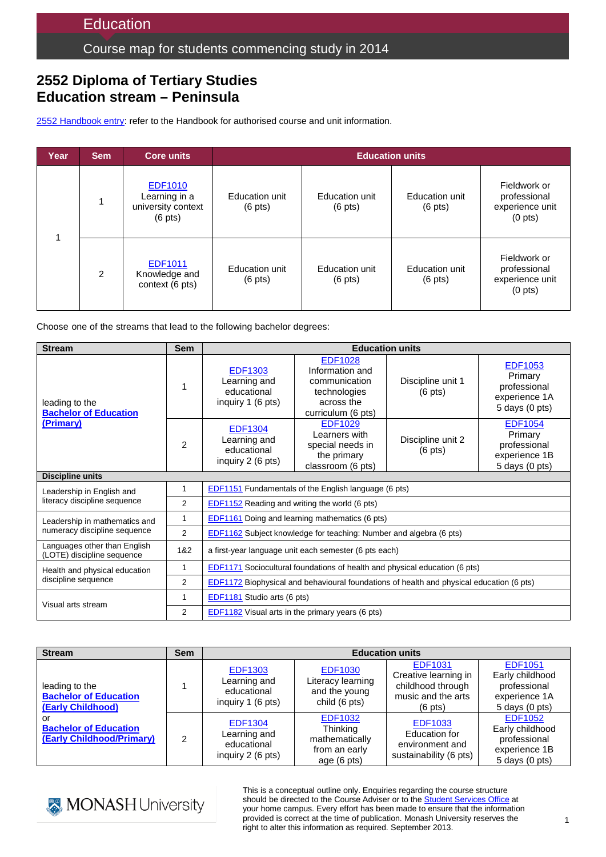## Course map for students commencing study in 2014

# **2552 Diploma of Tertiary Studies Education stream – Peninsula**

2552 [Handbook entry:](http://www.monash.edu.au/pubs/2014handbooks/courses/2552.html) refer to the Handbook for authorised course and unit information.

| Year | <b>Sem</b>    | <b>Core units</b>                                                          | <b>Education units</b>              |                                     |                                     |                                                                        |
|------|---------------|----------------------------------------------------------------------------|-------------------------------------|-------------------------------------|-------------------------------------|------------------------------------------------------------------------|
|      |               | <b>EDF1010</b><br>Learning in a<br>university context<br>$(6 \text{ pts})$ | Education unit<br>$(6 \text{ pts})$ | Education unit<br>$(6 \text{ pts})$ | Education unit<br>$(6 \text{ pts})$ | Fieldwork or<br>professional<br>experience unit<br>(0 <sub>pts</sub> ) |
|      | $\mathcal{P}$ | EDF1011<br>Knowledge and<br>context (6 pts)                                | Education unit<br>$(6 \text{ pts})$ | Education unit<br>$(6 \text{ pts})$ | Education unit<br>$(6 \text{ pts})$ | Fieldwork or<br>professional<br>experience unit<br>(0 <sub>pts</sub> ) |

Choose one of the streams that lead to the following bachelor degrees:

| <b>Sem</b><br><b>Stream</b>                                |                | <b>Education units</b>                                                                          |                                                                                                        |                                        |                                                                              |  |
|------------------------------------------------------------|----------------|-------------------------------------------------------------------------------------------------|--------------------------------------------------------------------------------------------------------|----------------------------------------|------------------------------------------------------------------------------|--|
| leading to the<br><b>Bachelor of Education</b>             | 1              | <b>EDF1303</b><br>Learning and<br>educational<br>inquiry 1 (6 pts)                              | <b>EDF1028</b><br>Information and<br>communication<br>technologies<br>across the<br>curriculum (6 pts) | Discipline unit 1<br>$(6 \text{ pts})$ | <b>EDF1053</b><br>Primary<br>professional<br>experience 1A<br>5 days (0 pts) |  |
| (Primary)                                                  | $\overline{2}$ | <b>EDF1304</b><br>Learning and<br>educational<br>inquiry 2 (6 pts)                              | <b>EDF1029</b><br>Learners with<br>special needs in<br>the primary<br>classroom (6 pts)                | Discipline unit 2<br>$(6 \text{ pts})$ | <b>EDF1054</b><br>Primary<br>professional<br>experience 1B<br>5 days (0 pts) |  |
| <b>Discipline units</b>                                    |                |                                                                                                 |                                                                                                        |                                        |                                                                              |  |
| Leadership in English and                                  | 1              | EDF1151 Fundamentals of the English language (6 pts)                                            |                                                                                                        |                                        |                                                                              |  |
| literacy discipline sequence                               | 2              | EDF1152 Reading and writing the world (6 pts)                                                   |                                                                                                        |                                        |                                                                              |  |
| Leadership in mathematics and                              | $\mathbf{1}$   | EDF1161 Doing and learning mathematics (6 pts)                                                  |                                                                                                        |                                        |                                                                              |  |
| numeracy discipline sequence                               | 2              | EDF1162 Subject knowledge for teaching: Number and algebra (6 pts)                              |                                                                                                        |                                        |                                                                              |  |
| Languages other than English<br>(LOTE) discipline sequence | 1&2            | a first-year language unit each semester (6 pts each)                                           |                                                                                                        |                                        |                                                                              |  |
| Health and physical education                              | 1              | <b>EDF1171</b> Sociocultural foundations of health and physical education (6 pts)               |                                                                                                        |                                        |                                                                              |  |
| discipline sequence                                        | 2              | <b>EDF1172</b> Biophysical and behavioural foundations of health and physical education (6 pts) |                                                                                                        |                                        |                                                                              |  |
| Visual arts stream                                         | 1              | EDF1181 Studio arts (6 pts)                                                                     |                                                                                                        |                                        |                                                                              |  |
|                                                            | 2              | <b>EDF1182</b> Visual arts in the primary years (6 pts)                                         |                                                                                                        |                                        |                                                                              |  |

| <b>Stream</b>                                                       | <b>Sem</b> | <b>Education units</b>                                             |                                                                                     |                                                                                                        |                                                                                          |
|---------------------------------------------------------------------|------------|--------------------------------------------------------------------|-------------------------------------------------------------------------------------|--------------------------------------------------------------------------------------------------------|------------------------------------------------------------------------------------------|
| leading to the<br><b>Bachelor of Education</b><br>(Early Childhood) |            | <b>EDF1303</b><br>Learning and<br>educational<br>inquiry 1 (6 pts) | <b>EDF1030</b><br>Literacy learning<br>and the young<br>child (6 pts)               | <b>EDF1031</b><br>Creative learning in<br>childhood through<br>music and the arts<br>$(6 \text{ pts})$ | <b>EDF1051</b><br>Early childhood<br>professional<br>experience 1A<br>$5$ days $(0$ pts) |
| or<br><b>Bachelor of Education</b><br>(Early Childhood/Primary)     | 2          | <b>EDF1304</b><br>Learning and<br>educational<br>inquiry 2 (6 pts) | <b>EDF1032</b><br><b>Thinking</b><br>mathematically<br>from an early<br>age (6 pts) | <b>EDF1033</b><br>Education for<br>environment and<br>sustainability (6 pts)                           | <b>EDF1052</b><br>Early childhood<br>professional<br>experience 1B<br>$5$ days $(0$ pts) |



This is a conceptual outline only. Enquiries regarding the course structure should be directed to the Course Adviser or to the [Student Services Office](http://education.monash.edu.au/students/current/admin/student-services-offices.html) at your home campus. Every effort has been made to ensure that the information provided is correct at the time of publication. Monash University reserves the right to alter this information as required. September 2013.